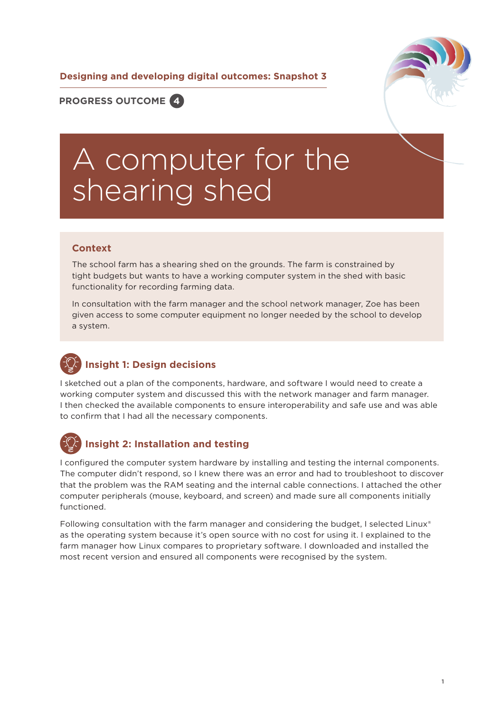**Designing and developing digital outcomes: Snapshot 3**



**PROGRESS OUTCOME 4**

# A computer for the shearing shed

#### **Context**

The school farm has a shearing shed on the grounds. The farm is constrained by tight budgets but wants to have a working computer system in the shed with basic functionality for recording farming data.

In consultation with the farm manager and the school network manager, Zoe has been given access to some computer equipment no longer needed by the school to develop a system.

### **Insight 1: Design decisions**

I sketched out a plan of the components, hardware, and software I would need to create a working computer system and discussed this with the network manager and farm manager. I then checked the available components to ensure interoperability and safe use and was able to confirm that I had all the necessary components.



#### **Insight 2: Installation and testing**

I configured the computer system hardware by installing and testing the internal components. The computer didn't respond, so I knew there was an error and had to troubleshoot to discover that the problem was the RAM seating and the internal cable connections. I attached the other computer peripherals (mouse, keyboard, and screen) and made sure all components initially functioned.

Following consultation with the farm manager and considering the budget, I selected Linux<sup>®</sup> as the operating system because it's open source with no cost for using it. I explained to the farm manager how Linux compares to proprietary software. I downloaded and installed the most recent version and ensured all components were recognised by the system.